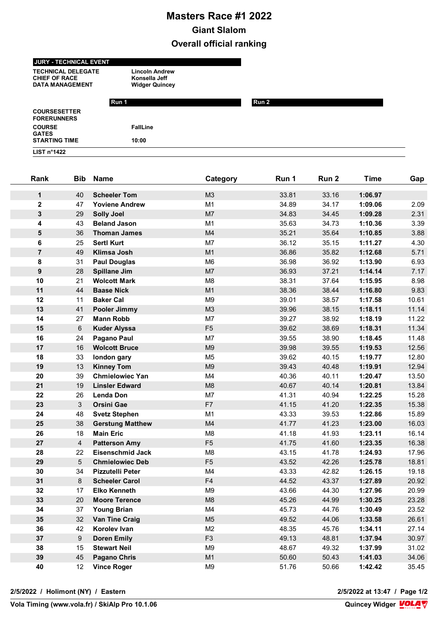## **Masters Race #1 2022 Giant Slalom Overall official ranking**

## **JURY - TECHNICAL EVENT**

**TECHNICAL DELEGATE Lincoln Andrew CHIEF OF RACE Konsella Jeff**<br> **DATA MANAGEMENT** Widger Quincey DATA MANAGEMENT

|                                           | Run 1           | Run 2 |  |
|-------------------------------------------|-----------------|-------|--|
| <b>COURSESETTER</b><br><b>FORERUNNERS</b> |                 |       |  |
| <b>COURSE</b><br><b>GATES</b>             | <b>FallLine</b> |       |  |
| <b>STARTING TIME</b>                      | 10:00           |       |  |
| LIST $n^{\circ}$ 1422                     |                 |       |  |

| Rank             | <b>Bib</b>       | <b>Name</b>             | Category       | Run 1 | Run 2 | <b>Time</b> | Gap   |
|------------------|------------------|-------------------------|----------------|-------|-------|-------------|-------|
| $\mathbf 1$      | 40               | <b>Scheeler Tom</b>     | M3             | 33.81 | 33.16 | 1:06.97     |       |
| $\mathbf{2}$     | 47               | <b>Yoviene Andrew</b>   | M <sub>1</sub> | 34.89 | 34.17 | 1:09.06     | 2.09  |
| 3                | 29               | <b>Solly Joel</b>       | M <sub>7</sub> | 34.83 | 34.45 | 1:09.28     | 2.31  |
| 4                | 43               | <b>Beland Jason</b>     | M <sub>1</sub> | 35.63 | 34.73 | 1:10.36     | 3.39  |
| 5                | 36               | <b>Thoman James</b>     | M4             | 35.21 | 35.64 | 1:10.85     | 3.88  |
| 6                | 25               | <b>Sertl Kurt</b>       | M7             | 36.12 | 35.15 | 1:11.27     | 4.30  |
| $\overline{7}$   | 49               | <b>Klimsa Josh</b>      | M1             | 36.86 | 35.82 | 1:12.68     | 5.71  |
| 8                | 31               | <b>Paul Douglas</b>     | M <sub>6</sub> | 36.98 | 36.92 | 1:13.90     | 6.93  |
| $\boldsymbol{9}$ | 28               | <b>Spillane Jim</b>     | M7             | 36.93 | 37.21 | 1:14.14     | 7.17  |
| 10               | 21               | <b>Wolcott Mark</b>     | M <sub>8</sub> | 38.31 | 37.64 | 1:15.95     | 8.98  |
| 11               | 44               | <b>Baase Nick</b>       | M1             | 38.36 | 38.44 | 1:16.80     | 9.83  |
| 12               | 11               | <b>Baker Cal</b>        | M <sub>9</sub> | 39.01 | 38.57 | 1:17.58     | 10.61 |
| 13               | 41               | Pooler Jimmy            | M3             | 39.96 | 38.15 | 1:18.11     | 11.14 |
| 14               | 27               | <b>Mann Robb</b>        | M7             | 39.27 | 38.92 | 1:18.19     | 11.22 |
| 15               | 6                | <b>Kuder Alyssa</b>     | F <sub>5</sub> | 39.62 | 38.69 | 1:18.31     | 11.34 |
| 16               | 24               | Pagano Paul             | M7             | 39.55 | 38.90 | 1:18.45     | 11.48 |
| 17               | 16               | <b>Wolcott Bruce</b>    | M <sub>9</sub> | 39.98 | 39.55 | 1:19.53     | 12.56 |
| 18               | 33               | london gary             | M <sub>5</sub> | 39.62 | 40.15 | 1:19.77     | 12.80 |
| 19               | 13               | <b>Kinney Tom</b>       | M9             | 39.43 | 40.48 | 1:19.91     | 12.94 |
| 20               | 39               | <b>Chmielowiec Yan</b>  | M4             | 40.36 | 40.11 | 1:20.47     | 13.50 |
| 21               | 19               | <b>Linsler Edward</b>   | M <sub>8</sub> | 40.67 | 40.14 | 1:20.81     | 13.84 |
| 22               | 26               | <b>Lenda Don</b>        | M7             | 41.31 | 40.94 | 1:22.25     | 15.28 |
| 23               | $\mathbf{3}$     | <b>Orsini Gae</b>       | F7             | 41.15 | 41.20 | 1:22.35     | 15.38 |
| 24               | 48               | <b>Svetz Stephen</b>    | M <sub>1</sub> | 43.33 | 39.53 | 1:22.86     | 15.89 |
| 25               | 38               | <b>Gerstung Matthew</b> | M4             | 41.77 | 41.23 | 1:23.00     | 16.03 |
| 26               | 18               | <b>Main Eric</b>        | M <sub>8</sub> | 41.18 | 41.93 | 1:23.11     | 16.14 |
| 27               | $\overline{4}$   | <b>Patterson Amy</b>    | F <sub>5</sub> | 41.75 | 41.60 | 1:23.35     | 16.38 |
| 28               | 22               | <b>Eisenschmid Jack</b> | M <sub>8</sub> | 43.15 | 41.78 | 1:24.93     | 17.96 |
| 29               | 5                | <b>Chmielowiec Deb</b>  | F <sub>5</sub> | 43.52 | 42.26 | 1:25.78     | 18.81 |
| 30               | 34               | <b>Pizzutelli Peter</b> | M4             | 43.33 | 42.82 | 1:26.15     | 19.18 |
| 31               | 8                | <b>Scheeler Carol</b>   | F4             | 44.52 | 43.37 | 1:27.89     | 20.92 |
| 32               | 17               | <b>Elko Kenneth</b>     | M <sub>9</sub> | 43.66 | 44.30 | 1:27.96     | 20.99 |
| 33               | 20               | <b>Moore Terence</b>    | M8             | 45.26 | 44.99 | 1:30.25     | 23.28 |
| 34               | 37               | <b>Young Brian</b>      | M4             | 45.73 | 44.76 | 1:30.49     | 23.52 |
| 35               | 32               | <b>Van Tine Craig</b>   | M <sub>5</sub> | 49.52 | 44.06 | 1:33.58     | 26.61 |
| 36               | 42               | Korolev Ivan            | M2             | 48.35 | 45.76 | 1:34.11     | 27.14 |
| 37               | $\boldsymbol{9}$ | <b>Doren Emily</b>      | F <sub>3</sub> | 49.13 | 48.81 | 1:37.94     | 30.97 |
| 38               | 15               | <b>Stewart Neil</b>     | M <sub>9</sub> | 48.67 | 49.32 | 1:37.99     | 31.02 |
| 39               | 45               | <b>Pagano Chris</b>     | M1             | 50.60 | 50.43 | 1:41.03     | 34.06 |
| 40               | 12               | <b>Vince Roger</b>      | M <sub>9</sub> | 51.76 | 50.66 | 1:42.42     | 35.45 |